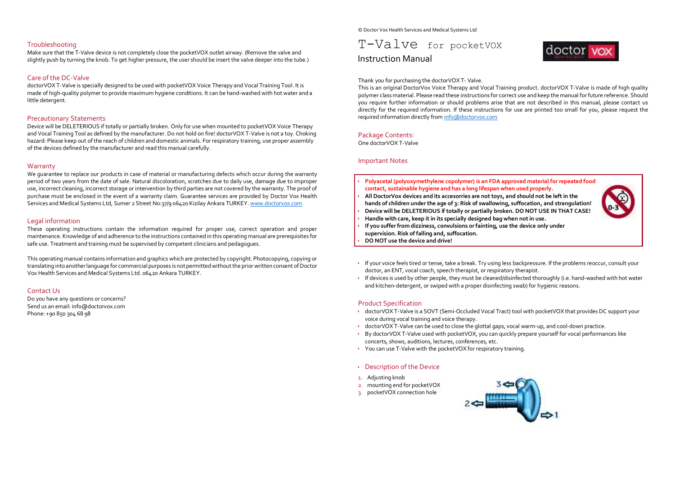## Troubleshooting

Make sure that the T-Valve device is not completely close the pocketVOX outlet airway. (Remove the valve and slightly push by turning the knob. To get higher pressure, the user should be insert the valve deeper into the tube.)

## Care of the DC-Valve

doctorVOX T-Valve is specially designed to be used with pocketVOX Voice Therapy and Vocal Training Tool. It is made of high-quality polymer to provide maximum hygiene conditions. It can be hand-washed with hot water and a little detergent.

## Precautionary Statements

Device will be DELETERIOUS if totally or partially broken. Only for use when mounted to pocketVOX Voice Therapy and Vocal Training Tool as defined by the manufacturer. Do not hold on fire! doctorVOX T-Valve is not a toy. Choking hazard: Please keep out of the reach of children and domestic animals. For respiratory training, use proper assembly of the devices defined by the manufacturer and read this manual carefully.

## **Warranty**

We guarantee to replace our products in case of material or manufacturing defects which occur during the warranty period of two years from the date of sale. Natural discoloration, scratches due to daily use, damage due to improper use, incorrect cleaning, incorrect storage or intervention by third parties are not covered by the warranty. The proof of purchase must be enclosed in the event of a warranty claim. Guarantee services are provided by Doctor Vox Health Services and Medical Systems Ltd, Sumer 2 Street No:37/9 06420 Kizilay Ankara TURKEY[. www.doctorvox.com](http://www.doctorvox.com/)

## Legal information

These operating instructions contain the information required for proper use, correct operation and proper maintenance. Knowledge of and adherence to the instructions contained in this operating manual are prerequisites for safe use. Treatment and training must be supervised by competent clinicians and pedagogues.

This operating manual contains information and graphics which are protected by copyright. Photocopying, copying or translating into another language for commercial purposes is not permitted without the prior written consent of Doctor Vox Health Services and Medical Systems Ltd. 06420 Ankara TURKEY.

## Contact Us

Do you have any questions or concerns? Send us an email: info@doctorvox.com Phone: +90 850 304 68 98

© Doctor Vox Health Services and Medical Systems Ltd

# T-Valve for pocketVOX Instruction Manual



Thank you for purchasing the doctorVOX T- Valve.

This is an original DoctorVox Voice Therapy and Vocal Training product. doctorVOX T-Valve is made of high quality polymer class material. Please read these instructions for correct use and keep the manual for future reference. Should you require further information or should problems arise that are not described in this manual, please contact us directly for the required information. If these instructions for use are printed too small for you, please request the required information directly fro[m info@doctorvox.com](mailto:info@doctorvox.com)

#### Package Contents:

One doctorVOX T-Valve

## Important Notes

- **Polyacetal (polyoxymethylene copolymer) is an FDA approved material for repeated food contact, sustainable hygiene and has a long lifespan when used properly.**
- **All DoctorVox devices and its accesorries are not toys, and should not be left in the hands of children under the age of 3: Risk of swallowing, suffocation, and strangulation!**
- **Device will be DELETERIOUS if totally or partially broken. DO NOT USE IN THAT CASE!**
- **Handle with care, keep it in its specially designed bag when not in use.**
- **If you suffer from dizziness, convulsions or fainting, use the device only under supervision. Risk of falling and, suffocation.**
- **DO NOT use the device and drive!**
- If your voice feels tired or tense, take a break. Try using less backpressure. If the problems reoccur, consult your doctor, an ENT, vocal coach, speech therapist, or respiratory therapist.
- If devices is used by other people, they must be cleaned/disinfected thoroughly (i.e. hand-washed with hot water and kitchen-detergent, or swiped with a proper disinfecting swab) for hygienic reasons.

#### Product Specification

- doctorVOX T-Valve is a SOVT (Semi-Occluded Vocal Tract) tool with pocketVOX that provides DC support your voice during vocal training and voice therapy.
- doctorVOX T-Valve can be used to close the glottal gaps, vocal warm-up, and cool-down practice.
- By doctorVOX T-Valve used with pocketVOX, you can quickly prepare yourself for vocal performances like concerts, shows, auditions, lectures, conferences, etc.
- You can use T-Valve with the pocketVOX for respiratory training.
- Description of the Device
- 1. Adjusting knob
- 2. mounting end for pocketVOX
- 3. pocketVOX connection hole